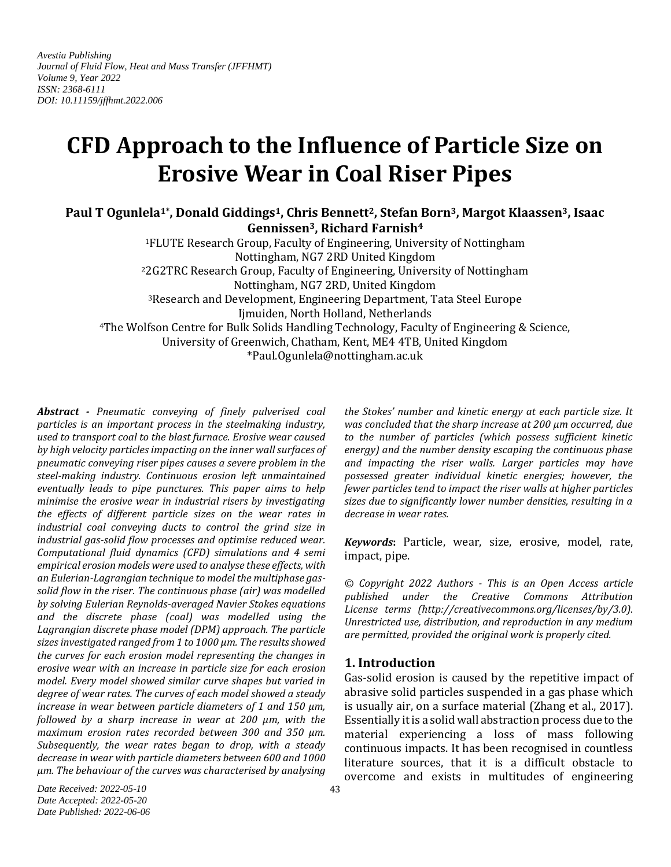*Avestia Publishing Journal of Fluid Flow, Heat and Mass Transfer (JFFHMT) Volume 9, Year 2022 ISSN: 2368-6111 DOI: 10.11159/jffhmt.2022.006*

# **CFD Approach to the Influence of Particle Size on Erosive Wear in Coal Riser Pipes**

**Paul T Ogunlela1\*, Donald Giddings1, Chris Bennett2, Stefan Born3, Margot Klaassen3, Isaac Gennissen3, Richard Farnish<sup>4</sup>**

<sup>1</sup>FLUTE Research Group, Faculty of Engineering, University of Nottingham Nottingham, NG7 2RD United Kingdom <sup>2</sup>2G2TRC Research Group, Faculty of Engineering, University of Nottingham Nottingham, NG7 2RD, United Kingdom <sup>3</sup>Research and Development, Engineering Department, Tata Steel Europe Ijmuiden, North Holland, Netherlands <sup>4</sup>The Wolfson Centre for Bulk Solids Handling Technology, Faculty of Engineering & Science, University of Greenwich, Chatham, Kent, ME4 4TB, United Kingdom \*Paul.Ogunlela@nottingham.ac.uk

*Abstract - Pneumatic conveying of finely pulverised coal particles is an important process in the steelmaking industry, used to transport coal to the blast furnace. Erosive wear caused by high velocity particles impacting on the inner wall surfaces of pneumatic conveying riser pipes causes a severe problem in the steel-making industry. Continuous erosion left unmaintained eventually leads to pipe punctures. This paper aims to help minimise the erosive wear in industrial risers by investigating the effects of different particle sizes on the wear rates in industrial coal conveying ducts to control the grind size in industrial gas-solid flow processes and optimise reduced wear. Computational fluid dynamics (CFD) simulations and 4 semi empirical erosion models were used to analyse these effects, with an Eulerian-Lagrangian technique to model the multiphase gassolid flow in the riser. The continuous phase (air) was modelled by solving Eulerian Reynolds-averaged Navier Stokes equations and the discrete phase (coal) was modelled using the Lagrangian discrete phase model (DPM) approach. The particle sizes investigated ranged from 1 to 1000 µm. The results showed the curves for each erosion model representing the changes in erosive wear with an increase in particle size for each erosion model. Every model showed similar curve shapes but varied in degree of wear rates. The curves of each model showed a steady increase in wear between particle diameters of 1 and 150 µm, followed by a sharp increase in wear at 200 µm, with the maximum erosion rates recorded between 300 and 350 µm. Subsequently, the wear rates began to drop, with a steady decrease in wear with particle diameters between 600 and 1000 µm. The behaviour of the curves was characterised by analysing* 

*the Stokes' number and kinetic energy at each particle size. It was concluded that the sharp increase at 200 µm occurred, due to the number of particles (which possess sufficient kinetic energy) and the number density escaping the continuous phase and impacting the riser walls. Larger particles may have possessed greater individual kinetic energies; however, the fewer particles tend to impact the riser walls at higher particles sizes due to significantly lower number densities, resulting in a decrease in wear rates.*

*Keywords***:** Particle, wear, size, erosive, model, rate, impact, pipe.

*© Copyright 2022 Authors - This is an Open Access article published under the Creative Commons Attribution License terms (http://creativecommons.org/licenses/by/3.0). Unrestricted use, distribution, and reproduction in any medium are permitted, provided the original work is properly cited.*

# **1. Introduction**

Gas-solid erosion is caused by the repetitive impact of abrasive solid particles suspended in a gas phase which is usually air, on a surface material (Zhang et al., 2017). Essentially it is a solid wall abstraction process due to the material experiencing a loss of mass following continuous impacts. It has been recognised in countless literature sources, that it is a difficult obstacle to overcome and exists in multitudes of engineering

*Date Received: 2022-05-10 Date Accepted: 2022-05-20 Date Published: 2022-06-06*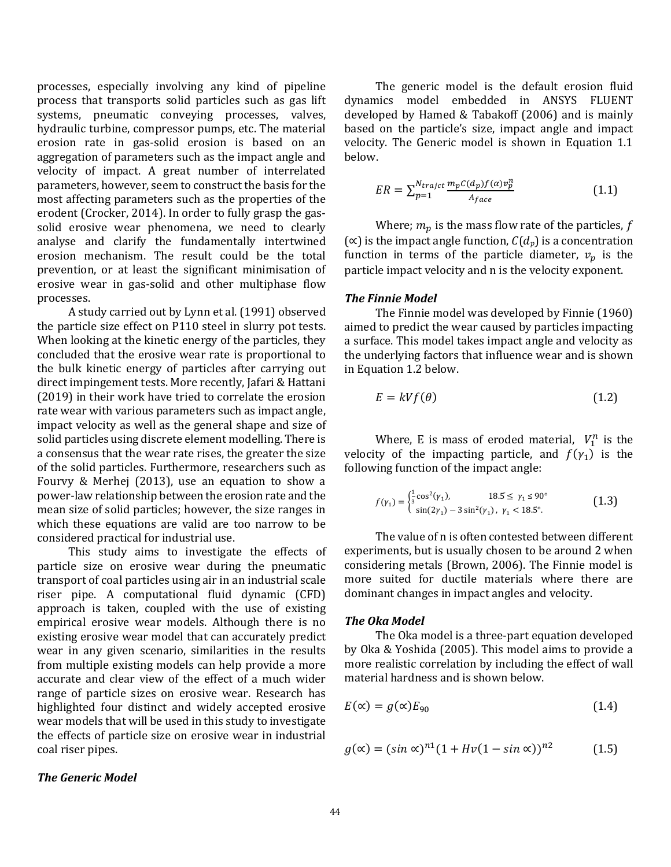processes, especially involving any kind of pipeline process that transports solid particles such as gas lift systems, pneumatic conveying processes, valves, hydraulic turbine, compressor pumps, etc. The material erosion rate in gas-solid erosion is based on an aggregation of parameters such as the impact angle and velocity of impact. A great number of interrelated parameters, however, seem to construct the basis for the most affecting parameters such as the properties of the erodent (Crocker, 2014). In order to fully grasp the gassolid erosive wear phenomena, we need to clearly analyse and clarify the fundamentally intertwined erosion mechanism. The result could be the total prevention, or at least the significant minimisation of erosive wear in gas-solid and other multiphase flow processes.

A study carried out by Lynn et al. (1991) observed the particle size effect on P110 steel in slurry pot tests. When looking at the kinetic energy of the particles, they concluded that the erosive wear rate is proportional to the bulk kinetic energy of particles after carrying out direct impingement tests. More recently, Jafari & Hattani (2019) in their work have tried to correlate the erosion rate wear with various parameters such as impact angle, impact velocity as well as the general shape and size of solid particles using discrete element modelling. There is a consensus that the wear rate rises, the greater the size of the solid particles. Furthermore, researchers such as Fourvy & Merhej (2013), use an equation to show a power-law relationship between the erosion rate and the mean size of solid particles; however, the size ranges in which these equations are valid are too narrow to be considered practical for industrial use.

This study aims to investigate the effects of particle size on erosive wear during the pneumatic transport of coal particles using air in an industrial scale riser pipe. A computational fluid dynamic (CFD) approach is taken, coupled with the use of existing empirical erosive wear models. Although there is no existing erosive wear model that can accurately predict wear in any given scenario, similarities in the results from multiple existing models can help provide a more accurate and clear view of the effect of a much wider range of particle sizes on erosive wear. Research has highlighted four distinct and widely accepted erosive wear models that will be used in this study to investigate the effects of particle size on erosive wear in industrial coal riser pipes.

## *The Generic Model*

The generic model is the default erosion fluid dynamics model embedded in ANSYS FLUENT developed by Hamed & Tabakoff (2006) and is mainly based on the particle's size, impact angle and impact velocity. The Generic model is shown in Equation 1.1 below.

$$
ER = \sum_{p=1}^{N_{trajectory}} \frac{m_p C(d_p) f(a) v_p^n}{A_{face}}
$$
(1.1)

Where;  $m_p$  is the mass flow rate of the particles, f  $(\infty)$  is the impact angle function,  $C(d_p)$  is a concentration function in terms of the particle diameter,  $v_p$  is the particle impact velocity and n is the velocity exponent.

#### *The Finnie Model*

The Finnie model was developed by Finnie (1960) aimed to predict the wear caused by particles impacting a surface. This model takes impact angle and velocity as the underlying factors that influence wear and is shown in Equation 1.2 below.

$$
E = kVf(\theta) \tag{1.2}
$$

Where, E is mass of eroded material,  $V_1^n$  is the velocity of the impacting particle, and  $f(\gamma_1)$  is the following function of the impact angle:

$$
f(\gamma_1) = \begin{cases} \frac{1}{3}\cos^2(\gamma_1), & 18.5 \le \gamma_1 \le 90^\circ \\ \sin(2\gamma_1) - 3\sin^2(\gamma_1), & \gamma_1 < 18.5^\circ. \end{cases}
$$
 (1.3)

The value of n is often contested between different experiments, but is usually chosen to be around 2 when considering metals (Brown, 2006). The Finnie model is more suited for ductile materials where there are dominant changes in impact angles and velocity.

#### *The Oka Model*

The Oka model is a three-part equation developed by Oka & Yoshida (2005). This model aims to provide a more realistic correlation by including the effect of wall material hardness and is shown below.

$$
E(\alpha) = g(\alpha)E_{90} \tag{1.4}
$$

$$
g(x) = (\sin \alpha)^{n_1} (1 + Hv(1 - \sin \alpha))^{n_2}
$$
 (1.5)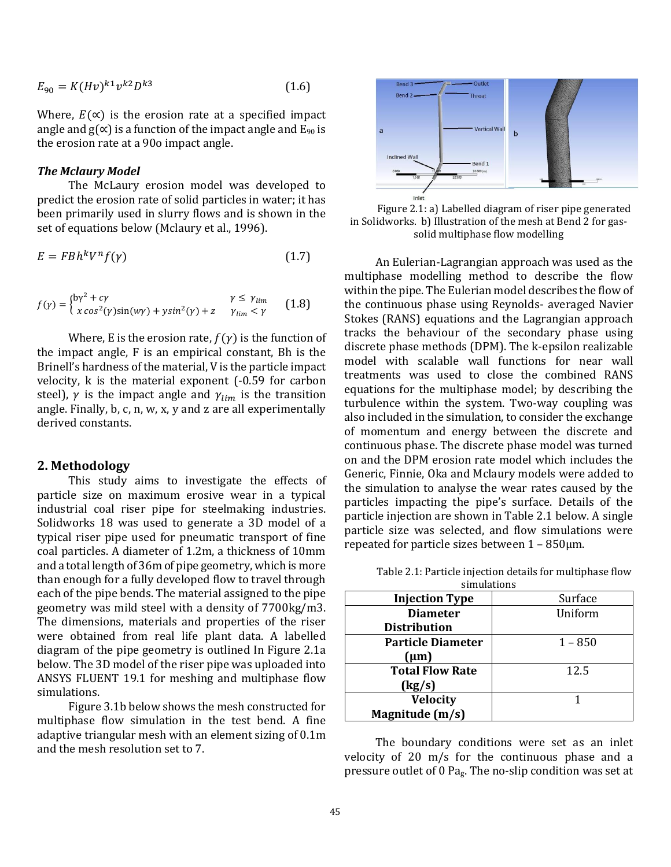$$
E_{90} = K(Hv)^{k1} v^{k2} D^{k3}
$$
 (1.6)

Where,  $E(\alpha)$  is the erosion rate at a specified impact angle and  $g(\alpha)$  is a function of the impact angle and  $E_{90}$  is the erosion rate at a 90o impact angle.

#### *The Mclaury Model*

The McLaury erosion model was developed to predict the erosion rate of solid particles in water; it has been primarily used in slurry flows and is shown in the set of equations below (Mclaury et al., 1996).

$$
E = F B h^k V^n f(\gamma) \tag{1.7}
$$

$$
f(\gamma) = \begin{cases} b\gamma^2 + c\gamma & \gamma \le \gamma_{lim} \\ x \cos^2(\gamma)\sin(w\gamma) + y\sin^2(\gamma) + z & \gamma_{lim} < \gamma \end{cases}
$$
 (1.8)

Where, E is the erosion rate,  $f(y)$  is the function of the impact angle, F is an empirical constant, Bh is the Brinell's hardness of the material, V is the particle impact velocity, k is the material exponent (-0.59 for carbon steel),  $\gamma$  is the impact angle and  $\gamma_{lim}$  is the transition angle. Finally, b, c, n, w, x, y and z are all experimentally derived constants.

## **2. Methodology**

This study aims to investigate the effects of particle size on maximum erosive wear in a typical industrial coal riser pipe for steelmaking industries. Solidworks 18 was used to generate a 3D model of a typical riser pipe used for pneumatic transport of fine coal particles. A diameter of 1.2m, a thickness of 10mm and a total length of 36m of pipe geometry, which is more than enough for a fully developed flow to travel through each of the pipe bends. The material assigned to the pipe geometry was mild steel with a density of 7700kg/m3. The dimensions, materials and properties of the riser were obtained from real life plant data. A labelled diagram of the pipe geometry is outlined In Figure 2.1a below. The 3D model of the riser pipe was uploaded into ANSYS FLUENT 19.1 for meshing and multiphase flow simulations.

Figure 3.1b below shows the mesh constructed for multiphase flow simulation in the test bend. A fine adaptive triangular mesh with an element sizing of 0.1m and the mesh resolution set to 7.



Figure 2.1: a) Labelled diagram of riser pipe generated in Solidworks. b) Illustration of the mesh at Bend 2 for gassolid multiphase flow modelling

An Eulerian-Lagrangian approach was used as the multiphase modelling method to describe the flow within the pipe. The Eulerian model describes the flow of the continuous phase using Reynolds- averaged Navier Stokes (RANS) equations and the Lagrangian approach tracks the behaviour of the secondary phase using discrete phase methods (DPM). The k-epsilon realizable model with scalable wall functions for near wall treatments was used to close the combined RANS equations for the multiphase model; by describing the turbulence within the system. Two-way coupling was also included in the simulation, to consider the exchange of momentum and energy between the discrete and continuous phase. The discrete phase model was turned on and the DPM erosion rate model which includes the Generic, Finnie, Oka and Mclaury models were added to the simulation to analyse the wear rates caused by the particles impacting the pipe's surface. Details of the particle injection are shown in Table 2.1 below. A single particle size was selected, and flow simulations were repeated for particle sizes between  $1 - 850 \mu m$ .

| simulations              |           |
|--------------------------|-----------|
| <b>Injection Type</b>    | Surface   |
| <b>Diameter</b>          | Uniform   |
| <b>Distribution</b>      |           |
| <b>Particle Diameter</b> | $1 - 850$ |
| $(\mu m)$                |           |
| <b>Total Flow Rate</b>   | 12.5      |
| (kg/s)                   |           |
| <b>Velocity</b>          |           |
| Magnitude (m/s)          |           |

Table 2.1: Particle injection details for multiphase flow simulations

The boundary conditions were set as an inlet velocity of 20 m/s for the continuous phase and a pressure outlet of 0 Pag. The no-slip condition was set at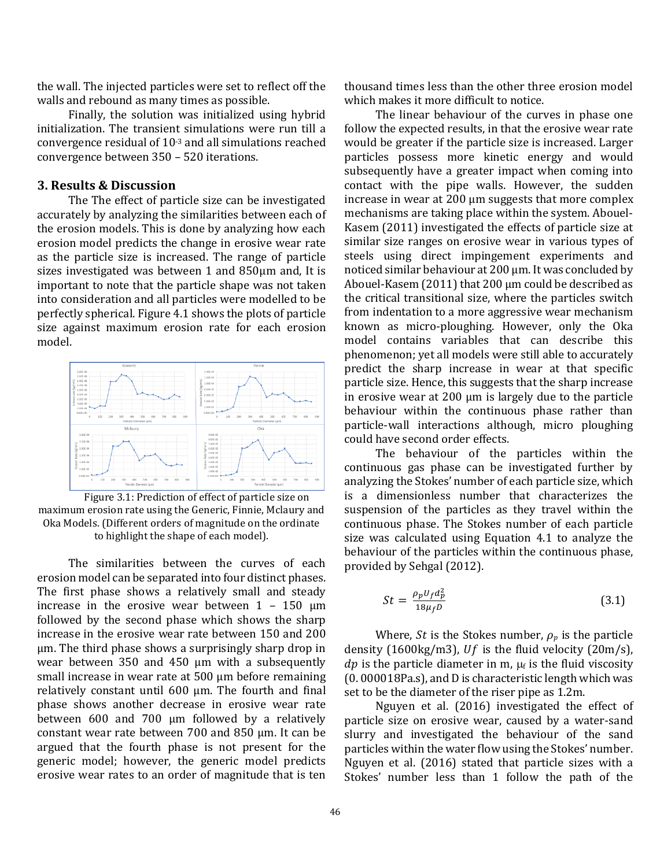the wall. The injected particles were set to reflect off the walls and rebound as many times as possible.

Finally, the solution was initialized using hybrid initialization. The transient simulations were run till a convergence residual of 10-3 and all simulations reached convergence between 350 – 520 iterations.

## **3. Results & Discussion**

The The effect of particle size can be investigated accurately by analyzing the similarities between each of the erosion models. This is done by analyzing how each erosion model predicts the change in erosive wear rate as the particle size is increased. The range of particle sizes investigated was between 1 and 850µm and, It is important to note that the particle shape was not taken into consideration and all particles were modelled to be perfectly spherical. Figure 4.1 shows the plots of particle size against maximum erosion rate for each erosion model.



Figure 3.1: Prediction of effect of particle size on maximum erosion rate using the Generic, Finnie, Mclaury and Oka Models. (Different orders of magnitude on the ordinate to highlight the shape of each model).

The similarities between the curves of each erosion model can be separated into four distinct phases. The first phase shows a relatively small and steady increase in the erosive wear between  $1 - 150 \mu m$ followed by the second phase which shows the sharp increase in the erosive wear rate between 150 and 200 µm. The third phase shows a surprisingly sharp drop in wear between 350 and 450 µm with a subsequently small increase in wear rate at 500 µm before remaining relatively constant until 600 µm. The fourth and final phase shows another decrease in erosive wear rate between 600 and 700 µm followed by a relatively constant wear rate between 700 and 850 µm. It can be argued that the fourth phase is not present for the generic model; however, the generic model predicts erosive wear rates to an order of magnitude that is ten

thousand times less than the other three erosion model which makes it more difficult to notice.

The linear behaviour of the curves in phase one follow the expected results, in that the erosive wear rate would be greater if the particle size is increased. Larger particles possess more kinetic energy and would subsequently have a greater impact when coming into contact with the pipe walls. However, the sudden increase in wear at 200 µm suggests that more complex mechanisms are taking place within the system. Abouel-Kasem (2011) investigated the effects of particle size at similar size ranges on erosive wear in various types of steels using direct impingement experiments and noticed similar behaviour at 200 µm. It was concluded by Abouel-Kasem (2011) that 200 µm could be described as the critical transitional size, where the particles switch from indentation to a more aggressive wear mechanism known as micro-ploughing. However, only the Oka model contains variables that can describe this phenomenon; yet all models were still able to accurately predict the sharp increase in wear at that specific particle size. Hence, this suggests that the sharp increase in erosive wear at 200 µm is largely due to the particle behaviour within the continuous phase rather than particle-wall interactions although, micro ploughing could have second order effects.

The behaviour of the particles within the continuous gas phase can be investigated further by analyzing the Stokes' number of each particle size, which is a dimensionless number that characterizes the suspension of the particles as they travel within the continuous phase. The Stokes number of each particle size was calculated using Equation 4.1 to analyze the behaviour of the particles within the continuous phase, provided by Sehgal (2012).

$$
St = \frac{\rho_p U_f d_p^2}{18\mu_f D} \tag{3.1}
$$

Where, *St* is the Stokes number,  $\rho_p$  is the particle density (1600kg/m3),  $Uf$  is the fluid velocity (20m/s), dp is the particle diameter in m,  $\mu_f$  is the fluid viscosity (0. 000018Pa.s), and D is characteristic length which was set to be the diameter of the riser pipe as 1.2m.

Nguyen et al. (2016) investigated the effect of particle size on erosive wear, caused by a water-sand slurry and investigated the behaviour of the sand particles within the water flow using the Stokes' number. Nguyen et al. (2016) stated that particle sizes with a Stokes' number less than 1 follow the path of the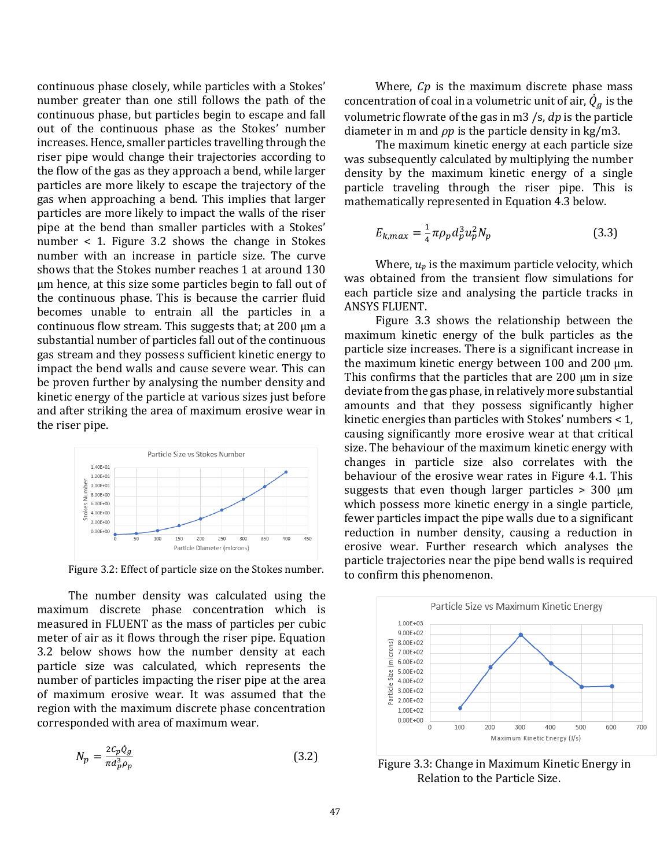continuous phase closely, while particles with a Stokes' number greater than one still follows the path of the continuous phase, but particles begin to escape and fall out of the continuous phase as the Stokes' number increases. Hence, smaller particles travelling through the riser pipe would change their trajectories according to the flow of the gas as they approach a bend, while larger particles are more likely to escape the trajectory of the gas when approaching a bend. This implies that larger particles are more likely to impact the walls of the riser pipe at the bend than smaller particles with a Stokes' number < 1. Figure 3.2 shows the change in Stokes number with an increase in particle size. The curve shows that the Stokes number reaches 1 at around 130 µm hence, at this size some particles begin to fall out of the continuous phase. This is because the carrier fluid becomes unable to entrain all the particles in a continuous flow stream. This suggests that; at 200 µm a substantial number of particles fall out of the continuous gas stream and they possess sufficient kinetic energy to impact the bend walls and cause severe wear. This can be proven further by analysing the number density and kinetic energy of the particle at various sizes just before and after striking the area of maximum erosive wear in the riser pipe.



Figure 3.2: Effect of particle size on the Stokes number.

The number density was calculated using the maximum discrete phase concentration which is measured in FLUENT as the mass of particles per cubic meter of air as it flows through the riser pipe. Equation 3.2 below shows how the number density at each particle size was calculated, which represents the number of particles impacting the riser pipe at the area of maximum erosive wear. It was assumed that the region with the maximum discrete phase concentration corresponded with area of maximum wear.

$$
N_p = \frac{2c_p \dot{Q}_g}{\pi d_p^3 \rho_p} \tag{3.2}
$$

Where,  $Cp$  is the maximum discrete phase mass concentration of coal in a volumetric unit of air,  $\dot{Q}_g$  is the volumetric flowrate of the gas in m3  $\mathcal{S}$ ,  $\mathcal{A}$  is the particle diameter in m and  $\rho p$  is the particle density in kg/m3.

The maximum kinetic energy at each particle size was subsequently calculated by multiplying the number density by the maximum kinetic energy of a single particle traveling through the riser pipe. This is mathematically represented in Equation 4.3 below.

$$
E_{k,max} = \frac{1}{4} \pi \rho_p d_p^3 u_p^2 N_p \tag{3.3}
$$

Where,  $u_p$  is the maximum particle velocity, which was obtained from the transient flow simulations for each particle size and analysing the particle tracks in ANSYS FLUENT.

Figure 3.3 shows the relationship between the maximum kinetic energy of the bulk particles as the particle size increases. There is a significant increase in the maximum kinetic energy between  $100$  and  $200 \mu m$ . This confirms that the particles that are  $200 \mu m$  in size deviate from the gas phase, in relatively more substantial amounts and that they possess significantly higher kinetic energies than particles with Stokes' numbers < 1, causing significantly more erosive wear at that critical size. The behaviour of the maximum kinetic energy with changes in particle size also correlates with the behaviour of the erosive wear rates in Figure 4.1. This suggests that even though larger particles  $> 300 \mu m$ which possess more kinetic energy in a single particle, fewer particles impact the pipe walls due to a significant reduction in number density, causing a reduction in erosive wear. Further research which analyses the particle trajectories near the pipe bend walls is required to confirm this phenomenon.



Figure 3.3: Change in Maximum Kinetic Energy in Relation to the Particle Size.